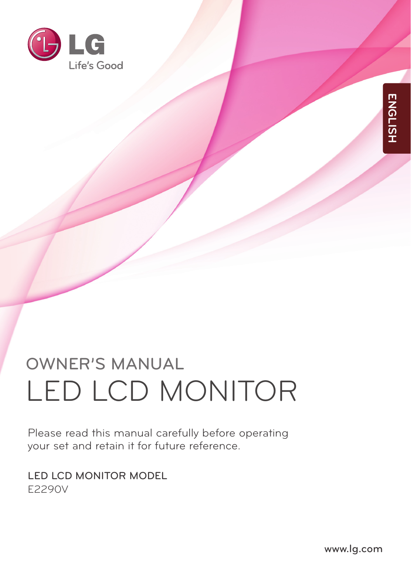

# OWNER'S MANUAL LED LCD MONITOR

Please read this manual carefully before operating your set and retain it for future reference.

LED LCD MONITOR MODEL E2290V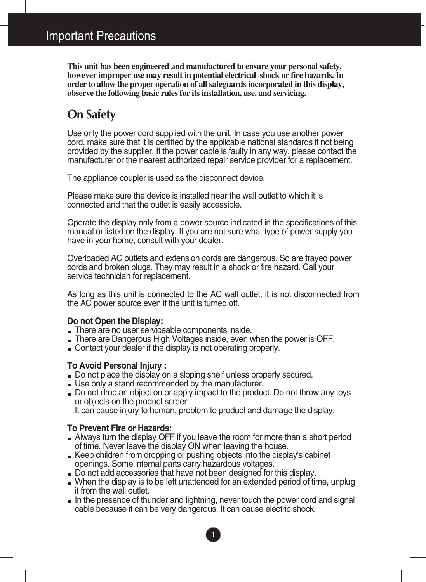**This unit has been engineered and manufactured to ensure your personal safety, however improper use may result in potential electrical shock or fire hazards. In order to allow the proper operation of all safeguards incorporated in this display, observe the following basic rules for its installation, use, and servicing.**

## **On Safety**

Use only the power cord supplied with the unit. In case you use another power cord, make sure that it is certified by the applicable national standards if not being provided by the supplier. If the power cable is faulty in any way, please contact the manufacturer or the nearest authorized repair service provider for a replacement.

The appliance coupler is used as the disconnect device.

Please make sure the device is installed near the wall outlet to which it is connected and that the outlet is easily accessible.

Operate the display only from a power source indicated in the specifications of this manual or listed on the display. If you are not sure what type of power supply you have in your home, consult with your dealer.

Overloaded AC outlets and extension cords are dangerous. So are frayed power cords and broken plugs. They may result in a shock or fire hazard. Call your service technician for replacement.

As long as this unit is connected to the AC wall outlet, it is not disconnected from the AC power source even if the unit is turned off.

#### **Do not Open the Display:**

- There are no user serviceable components inside.
- There are Dangerous High Voltages inside, even when the power is OFF.
- Contact your dealer if the display is not operating properly.

#### **To Avoid Personal Injury :**

- Do not place the display on a sloping shelf unless properly secured.
- Use only a stand recommended by the manufacturer.
- Do not drop an object on or apply impact to the product. Do not throw any toys or objects on the product screen.

It can cause injury to human, problem to product and damage the display.

#### **To Prevent Fire or Hazards:**

- Always turn the display OFF if you leave the room for more than a short period of time. Never leave the display ON when leaving the house.
- **Keep children from dropping or pushing objects into the display's cabinet** openings. Some internal parts carry hazardous voltages.
- Do not add accessories that have not been designed for this display.
- When the display is to be left unattended for an extended period of time, unplug it from the wall outlet.
- In the presence of thunder and lightning, never touch the power cord and signal cable because it can be very dangerous. It can cause electric shock.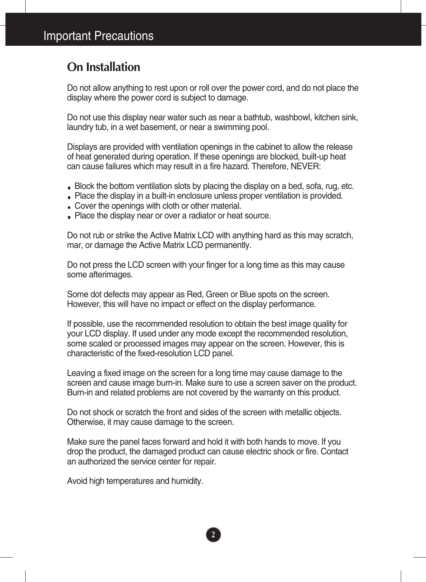## **On Installation**

Do not allow anything to rest upon or roll over the power cord, and do not place the display where the power cord is subject to damage.

Do not use this display near water such as near a bathtub, washbowl, kitchen sink, laundry tub, in a wet basement, or near a swimming pool.

Displays are provided with ventilation openings in the cabinet to allow the release of heat generated during operation. If these openings are blocked, built-up heat can cause failures which may result in a fire hazard. Therefore, NEVER:

- Block the bottom ventilation slots by placing the display on a bed, sofa, rug, etc.
- Place the display in a built-in enclosure unless proper ventilation is provided.
- Cover the openings with cloth or other material.
- Place the display near or over a radiator or heat source.

Do not rub or strike the Active Matrix LCD with anything hard as this may scratch, mar, or damage the Active Matrix LCD permanently.

Do not press the LCD screen with your finger for a long time as this may cause some afterimages.

Some dot defects may appear as Red, Green or Blue spots on the screen. However, this will have no impact or effect on the display performance.

If possible, use the recommended resolution to obtain the best image quality for your LCD display. If used under any mode except the recommended resolution, some scaled or processed images may appear on the screen. However, this is characteristic of the fixed-resolution LCD panel.

Leaving a fixed image on the screen for a long time may cause damage to the screen and cause image burn-in. Make sure to use a screen saver on the product. Burn-in and related problems are not covered by the warranty on this product.

Do not shock or scratch the front and sides of the screen with metallic objects. Otherwise, it may cause damage to the screen.

Make sure the panel faces forward and hold it with both hands to move. If you drop the product, the damaged product can cause electric shock or fire. Contact an authorized the service center for repair.

Avoid high temperatures and humidity.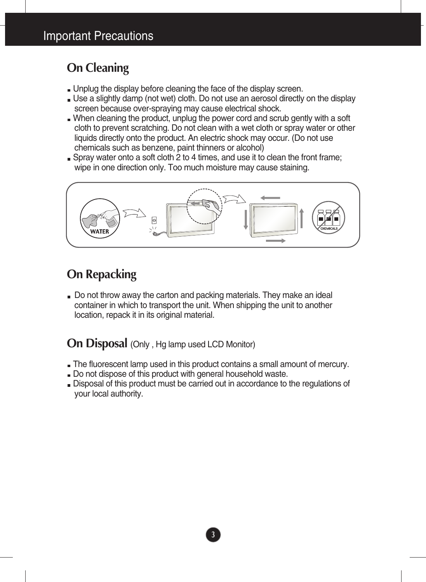## **On Cleaning**

- Unplug the display before cleaning the face of the display screen.
- Use a slightly damp (not wet) cloth. Do not use an aerosol directly on the display screen because over-spraying may cause electrical shock.
- When cleaning the product, unplug the power cord and scrub gently with a soft cloth to prevent scratching. Do not clean with a wet cloth or spray water or other liquids directly onto the product. An electric shock may occur. (Do not use chemicals such as benzene, paint thinners or alcohol)
- Spray water onto a soft cloth 2 to 4 times, and use it to clean the front frame; wipe in one direction only. Too much moisture may cause staining.



## **On Repacking**

Do not throw away the carton and packing materials. They make an ideal container in which to transport the unit. When shipping the unit to another location, repack it in its original material.

### **On Disposal** (Only , Hg lamp used LCD Monitor)

- The fluorescent lamp used in this product contains a small amount of mercury.
- Do not dispose of this product with general household waste.
- Disposal of this product must be carried out in accordance to the regulations of your local authority.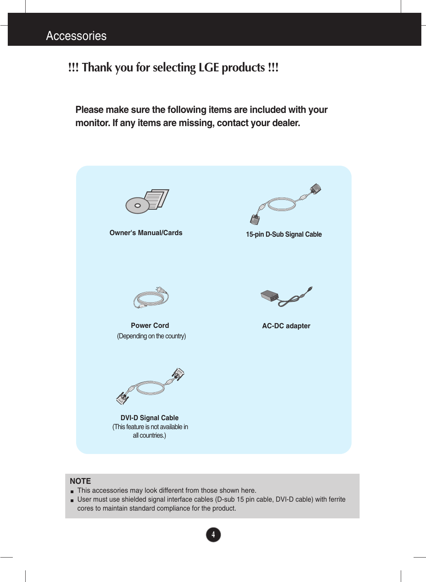## **!!! Thank you for selecting LGE products !!!**

**Please make sure the following items are included with your monitor. If any items are missing, contact your dealer.**



#### **NOTE**

- This accessories may look different from those shown here.
- User must use shielded signal interface cables (D-sub 15 pin cable, DVI-D cable) with ferrite cores to maintain standard compliance for the product.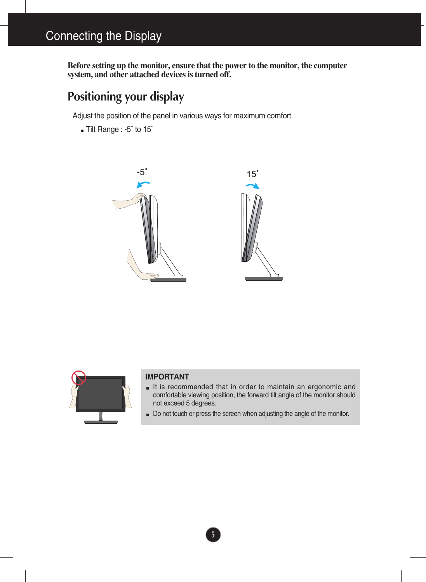**Before setting up the monitor, ensure that the power to the monitor, the computer system, and other attached devices is turned off.** 

## **Positioning your display**

Adjust the position of the panel in various ways for maximum comfort.

Tilt Range : -5˚ to 15˚







#### **IMPORTANT**

- It is recommended that in order to maintain an ergonomic and comfortable viewing position, the forward tilt angle of the monitor should not exceed 5 degrees.
- Do not touch or press the screen when adjusting the angle of the monitor.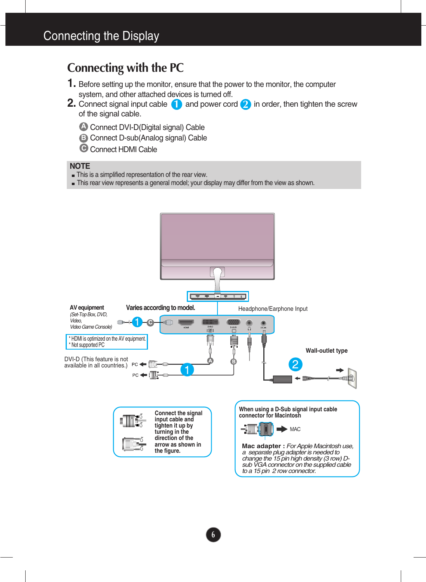## **Connecting with the PC**

- **1.** Before setting up the monitor, ensure that the power to the monitor, the computer system, and other attached devices is turned off.
- **2.** Connect signal input cable **1** and power cord **2** in order, then tighten the screw of the signal cable.
	- **A** Connect DVI-D(Digital signal) Cable
	- **B** Connect D-sub(Analog signal) Cable
	- Connect HDMI Cable

#### **NOTE**

- This is a simplified representation of the rear view.
- This rear view represents a general model; your display may differ from the view as shown.

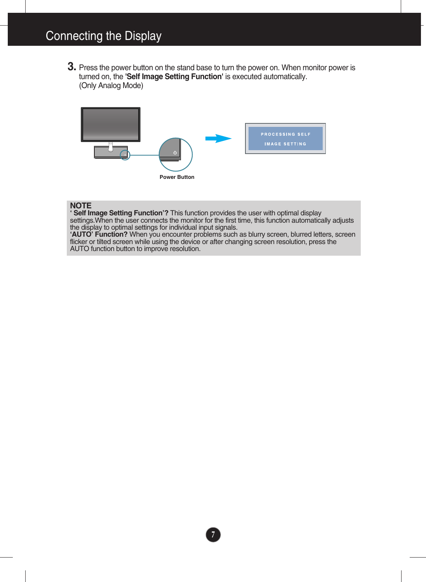**3.** Press the power button on the stand base to turn the power on. When monitor power is turned on, the **'Self Image Setting Function'** is executed automatically. (Only Analog Mode)



#### **NOTE**

**' Self Image Setting Function'?** This function provides the user with optimal display settings.When the user connects the monitor for the first time, this function automatically adjusts the display to optimal settings for individual input signals.

**'AUTO' Function?** When you encounter problems such as blurry screen, blurred letters, screen flicker or tilted screen while using the device or after changing screen resolution, press the AUTO function button to improve resolution.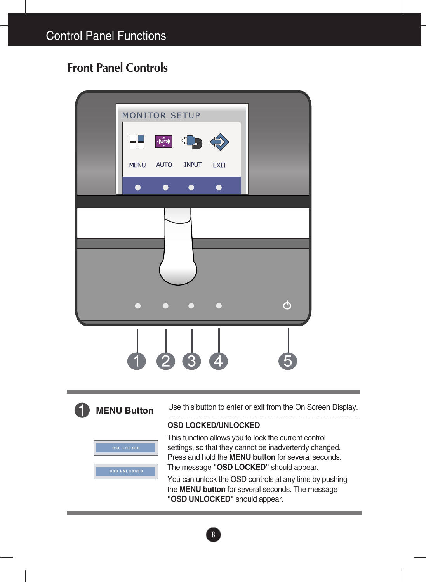## **Front Panel Controls**





Use this button to enter or exit from the On Screen Display.

#### **OSD LOCKED/UNLOCKED**

| <b>OSD LOCKED</b>   |
|---------------------|
|                     |
| <b>OSD UNLOCKED</b> |

This function allows you to lock the current control settings, so that they cannot be inadvertently changed. Press and hold the **MENU button** for several seconds. The message **"OSD LOCKED"** should appear.

You can unlock the OSD controls at any time by pushing the **MENU button** for several seconds. The message **"OSD UNLOCKED"** should appear.

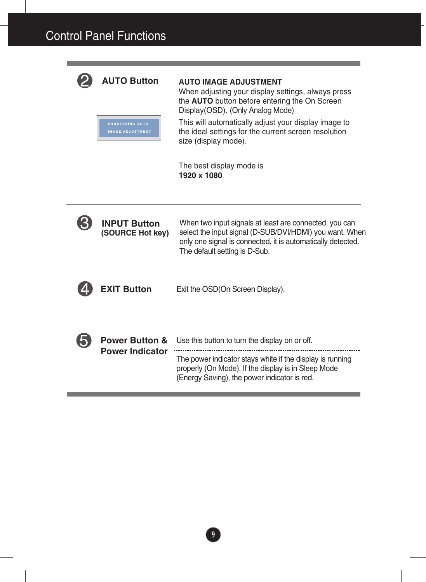**PROCESSING AUTO** 



### **AUTO Button AUTO IMAGE ADJUSTMENT**

When adjusting your display settings, always press the **AUTO** button before entering the On Screen Display(OSD). (Only Analog Mode)

This will automatically adjust your display image to the ideal settings for the current screen resolution size (display mode).

The best display mode is **1920 x 1080** 

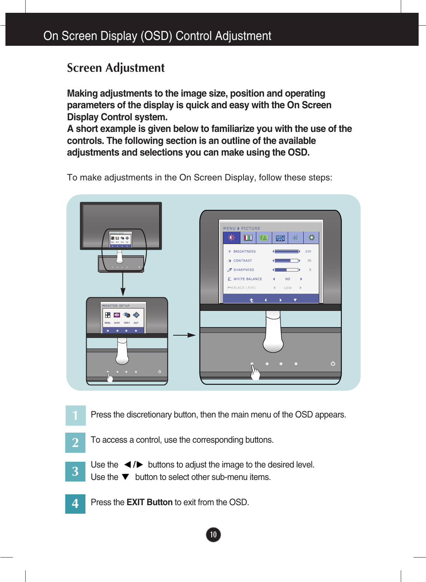### **Screen Adjustment**

**Making adjustments to the image size, position and operating parameters of the display is quick and easy with the On Screen Display Control system.** 

**A short example is given below to familiarize you with the use of the controls. The following section is an outline of the available adjustments and selections you can make using the OSD.**

To make adjustments in the On Screen Display, follow these steps:



Press the discretionary button, then the main menu of the OSD appears.

- To access a control, use the corresponding buttons. **2**
- Use the  $\blacktriangleleft$  / $\blacktriangleright$  buttons to adjust the image to the desired level. **3**
	- Use the  $\nabla$  button to select other sub-menu items.
- Press the **EXIT Button** to exit from the OSD. **4**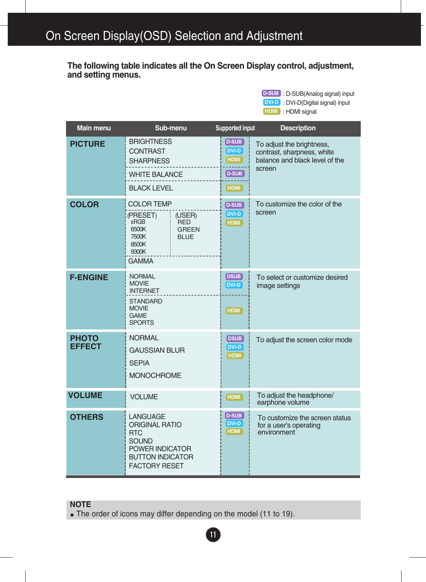**The following table indicates all the On Screen Display control, adjustment, and setting menus.**

> : D-SUB(Analog signal) input **D-SUB** : DVI-D(Digital signal) input **DVI-D**

: HDMI signal **HDMI**

| Main menu                     | Sub-menu                                                                                                                                         | Supported input                                             | <b>Description</b>                                                                                  |
|-------------------------------|--------------------------------------------------------------------------------------------------------------------------------------------------|-------------------------------------------------------------|-----------------------------------------------------------------------------------------------------|
| <b>PICTURE</b>                | <b>BRIGHTNESS</b><br><b>CONTRAST</b><br><b>SHARPNESS</b><br><b>WHITE BALANCE</b><br><b>BLACK LEVEL</b>                                           | D-SUB<br>DVI-D<br><b>HDMI</b><br>D-SUB<br>HDMI <sup>1</sup> | To adjust the brightness,<br>contrast, sharpness, white<br>balance and black level of the<br>screen |
| <b>COLOR</b>                  | <b>COLOR TEMP</b><br>(PRESET)<br>(USER)<br>sRGB<br><b>RED</b><br>6500K<br><b>GREEN</b><br>7500K<br><b>BLUE</b><br>8500K<br>9300K<br><b>GAMMA</b> | <b>D-SUB</b><br>DVI-D<br><b>HDMI</b>                        | To customize the color of the<br>screen                                                             |
| <b>F-ENGINE</b>               | <b>NORMAL</b><br><b>MOVIE</b><br><b>INTERNET</b><br><b>STANDARD</b><br><b>MOVIE</b><br><b>GAME</b><br><b>SPORTS</b>                              | DSUB<br>DVI-D<br>HDMI <sup>1</sup>                          | To select or customize desired<br>image settings                                                    |
| <b>PHOTO</b><br><b>EFFECT</b> | <b>NORMAL</b><br><b>GAUSSIAN BLUR</b><br><b>SEPIA</b><br><b>MONOCHROME</b>                                                                       | DSUB<br><b>DVI-D</b><br><b>HDMI</b>                         | To adjust the screen color mode                                                                     |
| <b>VOLUME</b>                 | <b>VOLUME</b>                                                                                                                                    | <b>HDMI</b>                                                 | To adjust the headphone/<br>earphone volume                                                         |
| <b>OTHERS</b>                 | LANGUAGE<br><b>ORIGINAL RATIO</b><br><b>RTC</b><br><b>SOUND</b><br>POWER INDICATOR<br><b>BUTTON INDICATOR</b><br><b>FACTORY RESET</b>            | <b>D-SUB</b><br>DVI-D<br><b>HDMI</b>                        | To customize the screen status<br>for a user's operating<br>environment                             |

#### **NOTE**

The order of icons may differ depending on the model (11 to 19).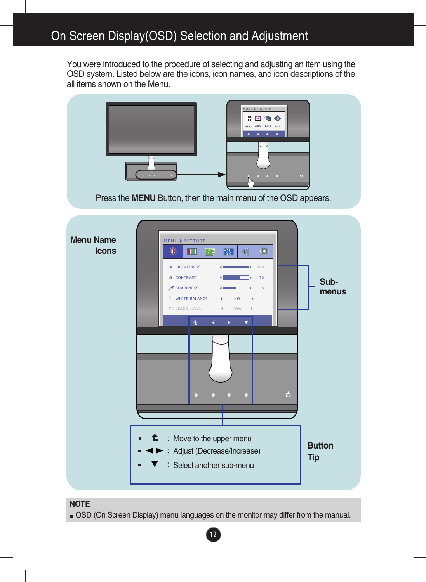You were introduced to the procedure of selecting and adjusting an item using the OSD system. Listed below are the icons, icon names, and icon descriptions of the all items shown on the Menu.



#### **NOTE**

OSD (On Screen Display) menu languages on the monitor may differ from the manual.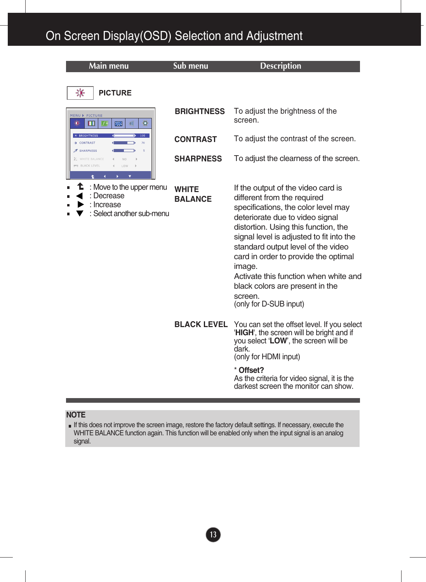| <b>Main menu</b>                                                                  | Sub menu                       | <b>Description</b>                                                                                                                                                                                                                                                                                                                                                                                                                       |
|-----------------------------------------------------------------------------------|--------------------------------|------------------------------------------------------------------------------------------------------------------------------------------------------------------------------------------------------------------------------------------------------------------------------------------------------------------------------------------------------------------------------------------------------------------------------------------|
| 氺<br><b>PICTURE</b>                                                               |                                |                                                                                                                                                                                                                                                                                                                                                                                                                                          |
| MENU ▶ PICTURE<br>¢<br><b>X</b><br>Ш<br>げ引<br>a<br>o                              | <b>BRIGHTNESS</b>              | To adjust the brightness of the<br>screen.                                                                                                                                                                                                                                                                                                                                                                                               |
| <b>* BRIGHTNESS</b><br>100<br>CONTRAST                                            | <b>CONTRAST</b>                | To adjust the contrast of the screen.                                                                                                                                                                                                                                                                                                                                                                                                    |
| <b>X</b> SHARPNESS<br>K WHITE BALANCE<br><b>FT BLACK LEVEL</b><br>LOW<br>٠        | <b>SHARPNESS</b>               | To adjust the clearness of the screen.                                                                                                                                                                                                                                                                                                                                                                                                   |
| : Move to the upper menu<br>: Decrease<br>: Increase<br>: Select another sub-menu | <b>WHITE</b><br><b>BALANCE</b> | If the output of the video card is<br>different from the required<br>specifications, the color level may<br>deteriorate due to video signal<br>distortion. Using this function, the<br>signal level is adjusted to fit into the<br>standard output level of the video<br>card in order to provide the optimal<br>image.<br>Activate this function when white and<br>black colors are present in the<br>screen.<br>(only for D-SUB input) |
|                                                                                   | <b>BLACK LEVEL</b>             | You can set the offset level. If you select<br>'HIGH', the screen will be bright and if<br>you select 'LOW', the screen will be<br>dark.<br>(only for HDMI input)<br>* Offset?<br>As the criteria for video signal, it is the<br>darkest screen the monitor can show.                                                                                                                                                                    |

#### **NOTE**

If this does not improve the screen image, restore the factory default settings. If necessary, execute the WHITE BALANCE function again. This function will be enabled only when the input signal is an analog signal.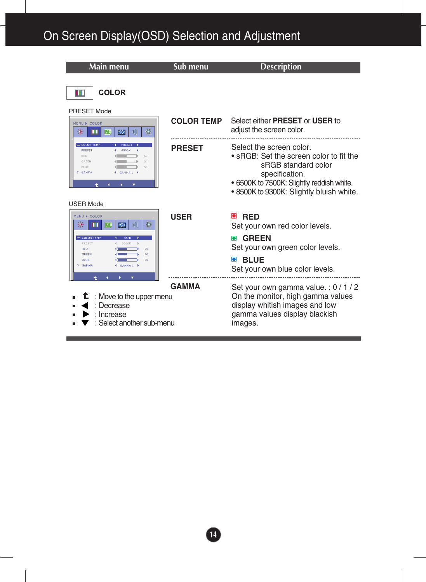| Main menu                                                                                                    | Sub menu          | <b>Description</b>                                                                                                                                                                                    |
|--------------------------------------------------------------------------------------------------------------|-------------------|-------------------------------------------------------------------------------------------------------------------------------------------------------------------------------------------------------|
| <b>COLOR</b><br>IT                                                                                           |                   |                                                                                                                                                                                                       |
| <b>PRESET Mode</b>                                                                                           |                   |                                                                                                                                                                                                       |
| MENU > COLOR<br>Ö<br>张<br>ア引<br>米<br>€<br>Ш                                                                  | <b>COLOR TEMP</b> | Select either <b>PRESET</b> or USER to<br>adjust the screen color.                                                                                                                                    |
| $-$ COLOR TEME<br>PRESET<br>RED<br>50<br>GREEN<br>BLUE<br>50<br>7 GAMMA<br>GAMMA 1                           | <b>PRESET</b>     | Select the screen color.<br>• sRGB: Set the screen color to fit the<br>sRGB standard color<br>specification.<br>· 6500K to 7500K: Slightly reddish white.<br>. 8500K to 9300K: Slightly bluish white. |
| <b>USER Mode</b><br>MENU > COLOR<br>図<br>€<br>げ見                                                             | <b>USER</b>       | O<br><b>RED</b><br>Set your own red color levels.                                                                                                                                                     |
| - COLOR TEMP<br><b>ISER</b><br>PRESET<br>RED<br>50<br>GREEN<br>50<br><b>BLUE</b><br>50<br>7 GAMMA<br>GAMMA 1 |                   | <b>O</b> GREEN<br>Set your own green color levels.<br><b>BLUE</b><br>$\Box$<br>Set your own blue color levels.                                                                                        |
| : Move to the upper menu<br>: Decrease<br>: Increase<br>: Select another sub-menu                            | <b>GAMMA</b>      | Set your own gamma value.: 0 / 1 / 2<br>On the monitor, high gamma values<br>display whitish images and low<br>gamma values display blackish<br>images.                                               |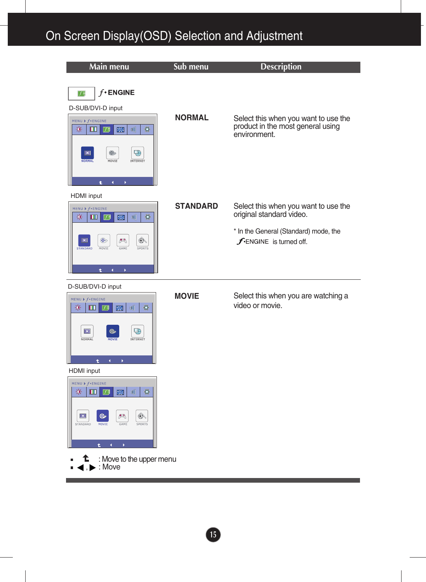| <b>Main menu</b>                                                                                                                                                                                                 | Sub menu        | <b>Description</b>                                                                                                                           |
|------------------------------------------------------------------------------------------------------------------------------------------------------------------------------------------------------------------|-----------------|----------------------------------------------------------------------------------------------------------------------------------------------|
| $f$ ENGINE<br>匹<br>D-SUB/DVI-D input<br>MENU $\triangleright$ f * ENGINE<br>0<br>楽<br>$\mathbb{R}$<br>Ш<br>子弓<br>a<br>Q)<br>$\boxed{\mathbf{x}}$<br>$\circledcirc$<br><b>NORMAL</b><br>MOVIE<br>INTERNET         | <b>NORMAL</b>   | Select this when you want to use the<br>product in the most general using<br>environment.                                                    |
| <b>HDMI</b> input<br>MENU > f+ENGINE<br>$\bullet$<br>楽<br>$\blacksquare$<br>╔<br>$\blacktriangleright$<br>C<br>$\circledast$<br>人<br>$\circledast$<br>$\mathbf{x}$<br>MOVIE<br>GAME<br>SPORTS<br><b>STANDARD</b> | <b>STANDARD</b> | Select this when you want to use the<br>original standard video.<br>* In the General (Standard) mode, the<br><b>f</b> -ENGINE is turned off. |

#### D-SUB/DVI-D input

MENU  $\triangleright$  f + ENGINE

 $\vert \mathbf{x} \vert$ 

 $\ddot{\textbf{t}}$ 



 $\frac{1}{2}$   $\frac{1}{2}$   $\frac{1}{2}$   $\frac{1}{2}$   $\frac{1}{2}$   $\frac{1}{2}$   $\frac{1}{2}$   $\frac{1}{2}$   $\frac{1}{2}$   $\frac{1}{2}$   $\frac{1}{2}$   $\frac{1}{2}$   $\frac{1}{2}$   $\frac{1}{2}$   $\frac{1}{2}$   $\frac{1}{2}$   $\frac{1}{2}$   $\frac{1}{2}$   $\frac{1}{2}$   $\frac{1}{2}$   $\frac{1}{2}$   $\frac{1}{2}$ 

**MOVIE**

Select this when you are watching a video or movie.

℄ : Move to the upper menu

 $\begin{picture}(120,15) \put(0,0){\line(1,0){15}} \put(15,0){\line(1,0){15}} \put(15,0){\line(1,0){15}} \put(15,0){\line(1,0){15}} \put(15,0){\line(1,0){15}} \put(15,0){\line(1,0){15}} \put(15,0){\line(1,0){15}} \put(15,0){\line(1,0){15}} \put(15,0){\line(1,0){15}} \put(15,0){\line(1,0){15}} \put(15,0){\line(1,0){15}} \put(15,0){\line($ 

 $\circledast$ 

 $\blacksquare$ ,  $\blacktriangleright$  : Move É

Ø,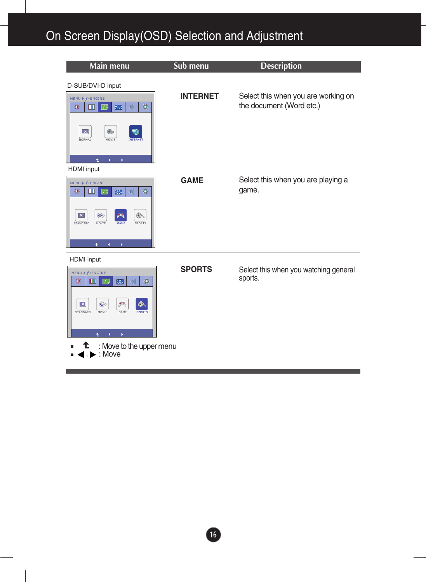| Main menu                                                                                                                                                                                                                                                                            | Sub menu        | <b>Description</b>                                              |
|--------------------------------------------------------------------------------------------------------------------------------------------------------------------------------------------------------------------------------------------------------------------------------------|-----------------|-----------------------------------------------------------------|
| D-SUB/DVI-D input<br>MENU $\triangleright$ f* ENGINE<br>$\bullet$<br>Ú<br>寮<br>m<br>図<br>73<br>V)<br>$\circledast$<br>$\overline{\mathbf{x}}$<br>MOVIE<br><b>NORMAL</b><br><b>INTERNET</b>                                                                                           | <b>INTERNET</b> | Select this when you are working on<br>the document (Word etc.) |
| Ł.<br>$\blacksquare$<br>$\mathbf{r}$<br>HDMI input<br>MENU ) f · ENGINE                                                                                                                                                                                                              | <b>GAME</b>     | Select this when you are playing a                              |
| ۰<br>寮<br>$\mathbb{Q}$<br>历<br>器<br>ш<br>◈<br>$\circledast$<br>$\vert x \vert$<br>严<br><b>STANDARD</b><br>MOVIE<br>GAME<br>SPORTS<br>Ł<br>$\blacktriangleleft$<br>Þ                                                                                                                  |                 | game.                                                           |
| <b>HDMI</b> input<br>MENU $\triangleright$ f + ENGINE<br>۰<br>楽<br>$\mathbb{Q}$<br>$\mathbb{R}$<br>m<br>刀<br>$\circledcirc$<br>٨<br>$ \mathbf{x} $<br>人<br><b>STANDARD</b><br>MOVIE<br><b>GAME</b><br><b>SPORTS</b><br>$\mathbf{r}$<br>4<br>: Move to the upper menu<br>c,<br>: Move | <b>SPORTS</b>   | Select this when you watching general<br>sports.                |
|                                                                                                                                                                                                                                                                                      |                 |                                                                 |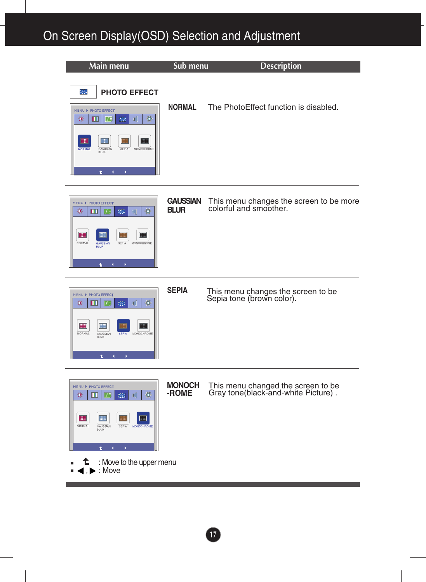



#### **GAUSSIAN BLUR** This menu changes the screen to be more colorful and smoother.



**SEPIA** This menu changes the screen to be Sepia tone (brown color).



**MONOCH**

**-ROME** This menu changed the screen to be Gray tone(black-and-white Picture) .

- : Move to the upper menu t
- $\blacktriangleright$  : Move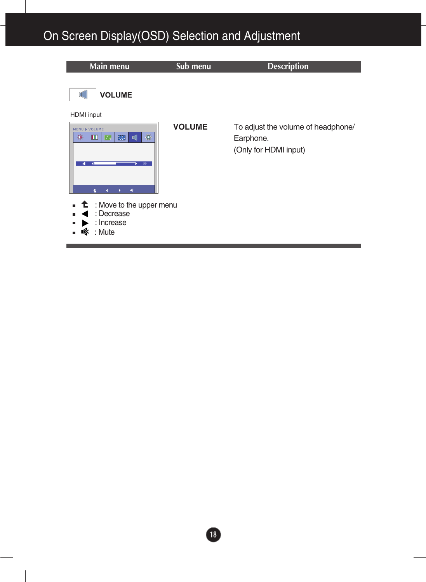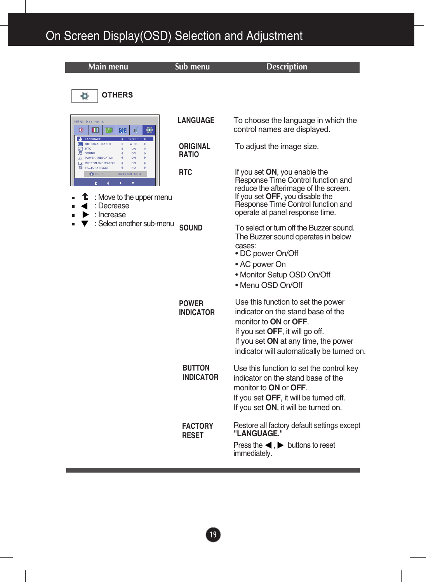| Main menu                                                                                                                                                                                                                                                                                                                                                                                                  | Sub menu                          | <b>Description</b>                                                                                                                                                                                                                        |
|------------------------------------------------------------------------------------------------------------------------------------------------------------------------------------------------------------------------------------------------------------------------------------------------------------------------------------------------------------------------------------------------------------|-----------------------------------|-------------------------------------------------------------------------------------------------------------------------------------------------------------------------------------------------------------------------------------------|
| <b>OTHERS</b><br>Ö                                                                                                                                                                                                                                                                                                                                                                                         |                                   |                                                                                                                                                                                                                                           |
| <b>MENU ▶ OTHERS</b><br>柒<br>Ш<br>匠<br><b>exeri</b><br>$\bullet$<br>LANGUAGE<br><b>ENGLIS</b><br>ORIGINAL RATIO<br>WIDE<br>$\neg$ RTC<br>ON<br><b>月</b> SOUND<br>ON<br>$\mathbf{Q}$ POWER INDICATOR<br>ON<br>$\Box$ BUTTON INDICATOR<br>ON<br><b>FACTORY RESET</b><br>NO <sub></sub><br>$\odot$ DSUB<br>1024X768 60Hz<br>: Move to the upper menu<br>: Decrease<br>: Increase<br>: Select another sub-menu | <b>LANGUAGE</b>                   | To choose the language in which the<br>control names are displayed.                                                                                                                                                                       |
|                                                                                                                                                                                                                                                                                                                                                                                                            | <b>ORIGINAL</b><br><b>RATIO</b>   | To adjust the image size.                                                                                                                                                                                                                 |
|                                                                                                                                                                                                                                                                                                                                                                                                            | <b>RTC</b>                        | If you set ON, you enable the<br>Response Time Control function and<br>reduce the afterimage of the screen.<br>If you set OFF, you disable the<br>Response Time Control function and<br>operate at panel response time.                   |
|                                                                                                                                                                                                                                                                                                                                                                                                            | <b>SOUND</b>                      | To select or turn off the Buzzer sound.<br>The Buzzer sound operates in below<br>cases:<br>• DC power On/Off<br>• AC power On<br>· Monitor Setup OSD On/Off<br>• Menu OSD On/Off                                                          |
|                                                                                                                                                                                                                                                                                                                                                                                                            | <b>POWER</b><br><b>INDICATOR</b>  | Use this function to set the power<br>indicator on the stand base of the<br>monitor to <b>ON</b> or <b>OFF</b> .<br>If you set OFF, it will go off.<br>If you set ON at any time, the power<br>indicator will automatically be turned on. |
|                                                                                                                                                                                                                                                                                                                                                                                                            | <b>BUTTON</b><br><b>INDICATOR</b> | Use this function to set the control key<br>indicator on the stand base of the<br>monitor to <b>ON</b> or <b>OFF</b> .<br>If you set OFF, it will be turned off.<br>If you set ON, it will be turned on.                                  |
|                                                                                                                                                                                                                                                                                                                                                                                                            | <b>FACTORY</b><br><b>RESET</b>    | Restore all factory default settings except<br>"LANGUAGE."<br>Press the $\blacktriangleleft$ . $\blacktriangleright$ buttons to reset<br>immediately.                                                                                     |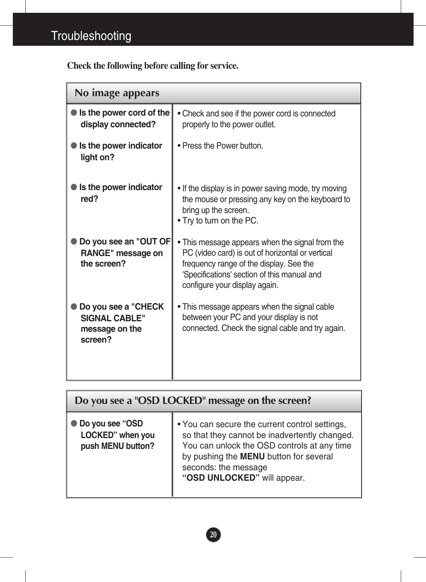**Check the following before calling for service.**

| No image appears                                                         |                                                                                                                                                                                                                                |  |
|--------------------------------------------------------------------------|--------------------------------------------------------------------------------------------------------------------------------------------------------------------------------------------------------------------------------|--|
| Is the power cord of the<br>display connected?                           | • Check and see if the power cord is connected<br>properly to the power outlet.                                                                                                                                                |  |
| Is the power indicator<br>light on?                                      | • Press the Power button.                                                                                                                                                                                                      |  |
| Is the power indicator<br>red?                                           | • If the display is in power saving mode, try moving<br>the mouse or pressing any key on the keyboard to<br>bring up the screen.<br>. Try to turn on the PC.                                                                   |  |
| Do you see an "OUT OF<br>RANGE" message on<br>the screen?                | . This message appears when the signal from the<br>PC (video card) is out of horizontal or vertical<br>frequency range of the display. See the<br>'Specifications' section of this manual and<br>configure your display again. |  |
| Do you see a "CHECK<br><b>SIGNAL CABLE"</b><br>message on the<br>screen? | • This message appears when the signal cable<br>between your PC and your display is not<br>connected. Check the signal cable and try again.                                                                                    |  |

| Do you see a "OSD LOCKED" message on the screen?           |                                                                                                                                                                                                                                                 |  |
|------------------------------------------------------------|-------------------------------------------------------------------------------------------------------------------------------------------------------------------------------------------------------------------------------------------------|--|
| ● Do you see "OSD<br>LOCKED" when you<br>push MENU button? | • You can secure the current control settings,<br>so that they cannot be inadvertently changed.<br>You can unlock the OSD controls at any time<br>by pushing the MENU button for several<br>seconds: the message<br>"OSD UNLOCKED" will appear. |  |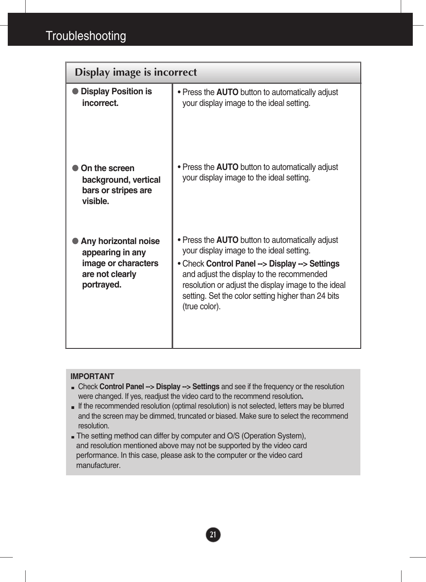| Display image is incorrect                                                                       |                                                                                                                                                                                                                                                                                                                                 |  |
|--------------------------------------------------------------------------------------------------|---------------------------------------------------------------------------------------------------------------------------------------------------------------------------------------------------------------------------------------------------------------------------------------------------------------------------------|--|
| <b>Display Position is</b><br>incorrect.                                                         | • Press the <b>AUTO</b> button to automatically adjust<br>your display image to the ideal setting.                                                                                                                                                                                                                              |  |
| On the screen<br>background, vertical<br>bars or stripes are<br>visible.                         | • Press the <b>AUTO</b> button to automatically adjust<br>your display image to the ideal setting.                                                                                                                                                                                                                              |  |
| Any horizontal noise<br>appearing in any<br>image or characters<br>are not clearly<br>portrayed. | • Press the <b>AUTO</b> button to automatically adjust<br>your display image to the ideal setting.<br>• Check Control Panel --> Display --> Settings<br>and adjust the display to the recommended<br>resolution or adjust the display image to the ideal<br>setting. Set the color setting higher than 24 bits<br>(true color). |  |

#### **IMPORTANT**

- Check **Control Panel --> Display --> Settings** and see if the frequency or the resolution were changed. If yes, readjust the video card to the recommend resolution**.**
- If the recommended resolution (optimal resolution) is not selected, letters may be blurred and the screen may be dimmed, truncated or biased. Make sure to select the recommend resolution.

**21**

The setting method can differ by computer and O/S (Operation System), and resolution mentioned above may not be supported by the video card performance. In this case, please ask to the computer or the video card manufacturer.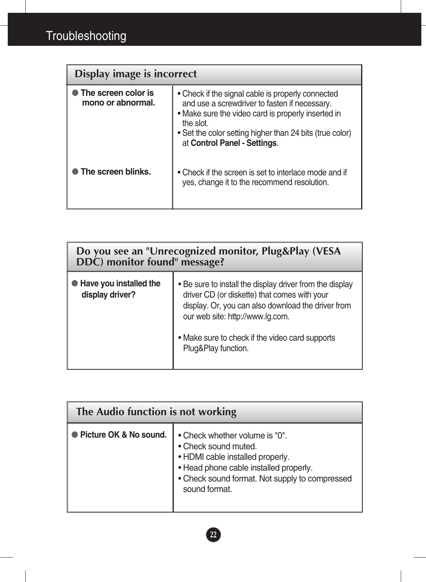| Display image is incorrect               |                                                                                                                                                                                                                                                                   |  |
|------------------------------------------|-------------------------------------------------------------------------------------------------------------------------------------------------------------------------------------------------------------------------------------------------------------------|--|
| The screen color is<br>mono or abnormal. | • Check if the signal cable is properly connected<br>and use a screwdriver to fasten if necessary.<br>• Make sure the video card is properly inserted in<br>the slot.<br>• Set the color setting higher than 24 bits (true color)<br>at Control Panel - Settings. |  |
| The screen blinks.                       | • Check if the screen is set to interlace mode and if<br>yes, change it to the recommend resolution.                                                                                                                                                              |  |

| Do you see an "Unrecognized monitor, Plug&Play (VESA<br>DDC) monitor found" message? |                                                                                                                                                                                                                                                                              |  |
|--------------------------------------------------------------------------------------|------------------------------------------------------------------------------------------------------------------------------------------------------------------------------------------------------------------------------------------------------------------------------|--|
| Have you installed the<br>display driver?                                            | . Be sure to install the display driver from the display<br>driver CD (or diskette) that comes with your<br>display. Or, you can also download the driver from<br>our web site: http://www.lg.com.<br>• Make sure to check if the video card supports<br>Plug&Play function. |  |

| The Audio function is not working |                                                                                                                                                                                                         |  |  |
|-----------------------------------|---------------------------------------------------------------------------------------------------------------------------------------------------------------------------------------------------------|--|--|
| Picture OK & No sound.            | • Check whether volume is "0".<br>• Check sound muted.<br>• HDMI cable installed properly.<br>• Head phone cable installed properly.<br>• Check sound format. Not supply to compressed<br>sound format. |  |  |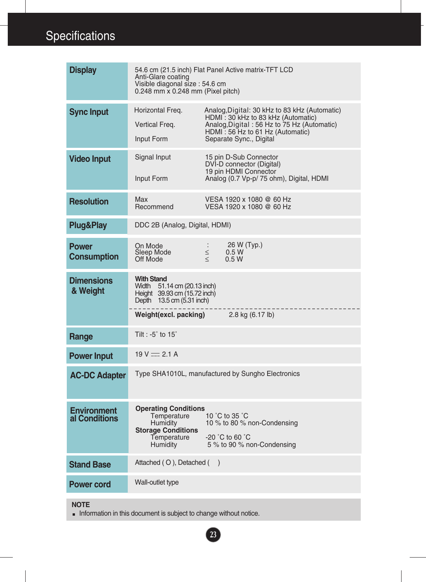| <b>Display</b>                      | 54.6 cm (21.5 inch) Flat Panel Active matrix-TFT LCD<br>Anti-Glare coating<br>Visible diagonal size: 54.6 cm<br>0.248 mm x 0.248 mm (Pixel pitch)                                                                         |                                                                                                                                                                                                   |  |
|-------------------------------------|---------------------------------------------------------------------------------------------------------------------------------------------------------------------------------------------------------------------------|---------------------------------------------------------------------------------------------------------------------------------------------------------------------------------------------------|--|
| <b>Sync Input</b>                   | Horizontal Freq.<br>Vertical Freq.<br>Input Form                                                                                                                                                                          | Analog, Digital: 30 kHz to 83 kHz (Automatic)<br>HDMI: 30 kHz to 83 kHz (Automatic)<br>Analog, Digital: 56 Hz to 75 Hz (Automatic)<br>HDMI: 56 Hz to 61 Hz (Automatic)<br>Separate Sync., Digital |  |
| <b>Video Input</b>                  | Signal Input<br>Input Form                                                                                                                                                                                                | 15 pin D-Sub Connector<br>DVI-D connector (Digital)<br>19 pin HDMI Connector<br>Analog (0.7 Vp-p/ 75 ohm), Digital, HDMI                                                                          |  |
| <b>Resolution</b>                   | Max<br>Recommend                                                                                                                                                                                                          | VESA 1920 x 1080 @ 60 Hz<br>VESA 1920 x 1080 @ 60 Hz                                                                                                                                              |  |
| <b>Plug&amp;Play</b>                | DDC 2B (Analog, Digital, HDMI)                                                                                                                                                                                            |                                                                                                                                                                                                   |  |
| <b>Power</b><br><b>Consumption</b>  | On Mode<br>Sleep Mode<br>Off Mode                                                                                                                                                                                         | 26 W (Typ.)<br>$\mathbb{Z}^n$<br>$\leq$<br>0.5W<br>$\leq$<br>0.5W                                                                                                                                 |  |
| <b>Dimensions</b><br>& Weight       | <b>With Stand</b><br>Width 51.14 cm (20.13 inch)<br>Height 39.93 cm (15.72 inch)<br>Depth 13.5 cm (5.31 inch)<br><b>Weight(excl. packing)</b> $2.8 \text{ kg} (6.17 \text{ lb})$                                          |                                                                                                                                                                                                   |  |
| Range                               | Tilt : -5 $\degree$ to 15 $\degree$                                                                                                                                                                                       |                                                                                                                                                                                                   |  |
| <b>Power Input</b>                  | $19 V = 2.1 A$                                                                                                                                                                                                            |                                                                                                                                                                                                   |  |
| <b>AC-DC Adapter</b>                | Type SHA1010L, manufactured by Sungho Electronics                                                                                                                                                                         |                                                                                                                                                                                                   |  |
| <b>Environment</b><br>al Conditions | <b>Operating Conditions</b><br>10 °C to 35 °C<br>Temperature<br>10 % to 80 % non-Condensing<br><b>Humidity</b><br><b>Storage Conditions</b><br>$-20$ °C to 60 °C<br>Temperature<br>5 % to 90 % non-Condensing<br>Humidity |                                                                                                                                                                                                   |  |
| <b>Stand Base</b>                   | Attached $($ O $)$ , Detached $($ $)$                                                                                                                                                                                     |                                                                                                                                                                                                   |  |
| <b>Power cord</b>                   | Wall-outlet type                                                                                                                                                                                                          |                                                                                                                                                                                                   |  |
|                                     |                                                                                                                                                                                                                           |                                                                                                                                                                                                   |  |

**23**

#### **NOTE**

Information in this document is subject to change without notice.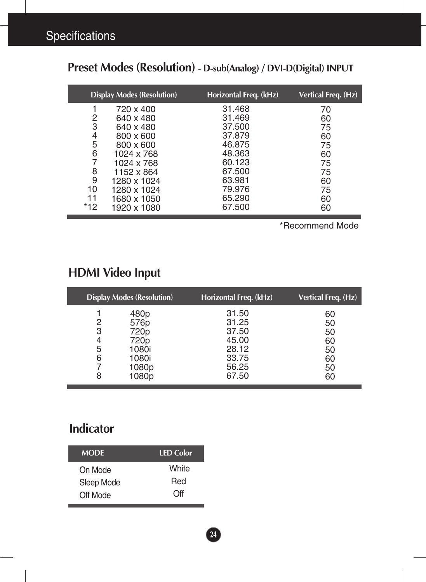|     | <b>Display Modes (Resolution)</b> | Horizontal Freq. (kHz) | Vertical Freq. (Hz) |
|-----|-----------------------------------|------------------------|---------------------|
|     | 720 x 400                         | 31.468                 | 70                  |
| 2   | 640 x 480                         | 31.469                 | 60                  |
| 3   | 640 x 480                         | 37,500                 | 75                  |
| 4   | 800 x 600                         | 37,879                 | 60                  |
| 5   | 800 x 600                         | 46.875                 | 75                  |
| 6   | 1024 x 768                        | 48.363                 | 60                  |
|     | 1024 x 768                        | 60.123                 | 75                  |
| 8   | 1152 x 864                        | 67.500                 | 75                  |
| 9   | 1280 x 1024                       | 63.981                 | 60                  |
| 10  | 1280 x 1024                       | 79.976                 | 75                  |
| 11  | 1680 x 1050                       | 65.290                 | 60                  |
| *12 | 1920 x 1080                       | 67.500                 | 60                  |

## **Preset Modes (Resolution) - D-sub(Analog) / DVI-D(Digital) INPUT**

\*Recommend Mode

## **HDMI Video Input**

|                            | <b>Display Modes (Resolution)</b>                                            | Horizontal Freq. (kHz)                                               | Vertical Freq. (Hz)                          |
|----------------------------|------------------------------------------------------------------------------|----------------------------------------------------------------------|----------------------------------------------|
| 2<br>3<br>4<br>5<br>6<br>8 | 480p<br>576p<br>720p<br>720 <sub>p</sub><br>1080i<br>1080i<br>1080p<br>1080p | 31.50<br>31.25<br>37.50<br>45.00<br>28.12<br>33.75<br>56.25<br>67.50 | 60<br>50<br>50<br>60<br>50<br>60<br>50<br>60 |

### **Indicator**

| <b>MODE</b> | <b>LED Color</b> |
|-------------|------------------|
| On Mode     | White            |
| Sleep Mode  | Red              |
| Off Mode    | Off              |